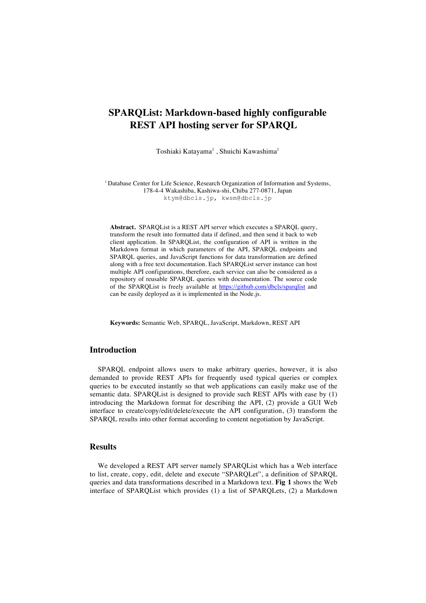## **SPARQList: Markdown-based highly configurable REST API hosting server for SPARQL**

Toshiaki Katayama<sup>1</sup>, Shuichi Kawashima<sup>1</sup>

<sup>1</sup> Database Center for Life Science, Research Organization of Information and Systems, 178-4-4 Wakashiba, Kashiwa-shi, Chiba 277-0871, Japan ktym@dbcls.jp, kwsm@dbcls.jp

**Abstract.** SPARQList is a REST API server which executes a SPARQL query, transform the result into formatted data if defined, and then send it back to web client application. In SPARQList, the configuration of API is written in the Markdown format in which parameters of the API, SPARQL endpoints and SPARQL queries, and JavaScript functions for data transformation are defined along with a free text documentation. Each SPARQList server instance can host multiple API configurations, therefore, each service can also be considered as a repository of reusable SPARQL queries with documentation. The source code of the SPARQList is freely available at https://github.com/dbcls/sparqlist and can be easily deployed as it is implemented in the Node.js.

**Keywords:** Semantic Web, SPARQL, JavaScript, Markdown, REST API

## **Introduction**

SPARQL endpoint allows users to make arbitrary queries, however, it is also demanded to provide REST APIs for frequently used typical queries or complex queries to be executed instantly so that web applications can easily make use of the semantic data. SPARQList is designed to provide such REST APIs with ease by (1) introducing the Markdown format for describing the API, (2) provide a GUI Web interface to create/copy/edit/delete/execute the API configuration, (3) transform the SPARQL results into other format according to content negotiation by JavaScript.

## **Results**

We developed a REST API server namely SPARQList which has a Web interface to list, create, copy, edit, delete and execute "SPARQLet", a definition of SPARQL queries and data transformations described in a Markdown text. **Fig 1** shows the Web interface of SPARQList which provides (1) a list of SPARQLets, (2) a Markdown